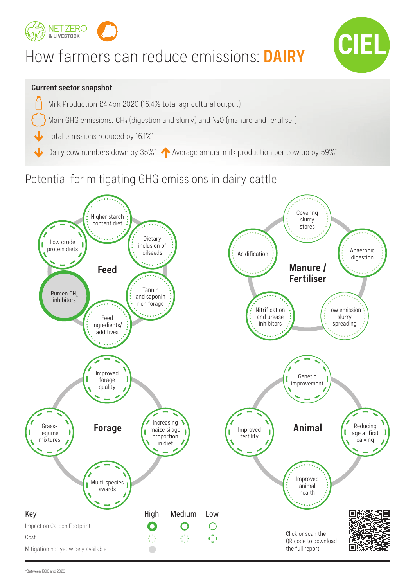

# How farmers can reduce emissions: **DAIRY**



### **Current sector snapshot**

- Milk Production £4.4bn 2020 (16.4% total agricultural output)
- Main GHG emissions: CH4 (digestion and slurry) and N<sub>2</sub>O (manure and fertiliser)
- Total emissions reduced by 16.1%\*
- Dairy cow numbers down by 35%\* Average annual milk production per cow up by 59%\*

## Potential for mitigating GHG emissions in dairy cattle

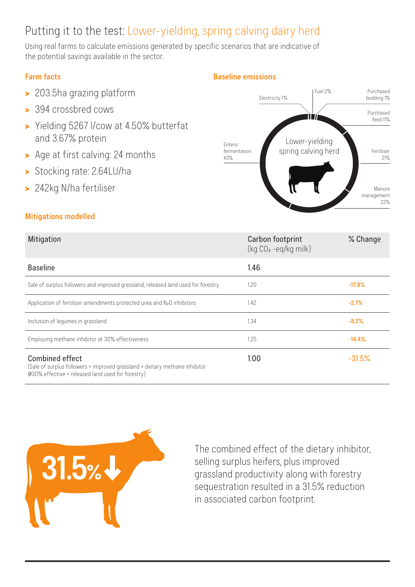# Putting it to the test: Lower-yielding, spring calving dairy herd

Using real farms to calculate emissions generated by specific scenarios that are indicative of the potential savings available in the sector.

### **Farm facts**

- > 203.5ha grazing platform
- > 394 crossbred cows
- > Yielding 5267 l/cow at 4.50% butterfat and 3.67% protein
- > Age at first calving: 24 months
- > Stocking rate: 2.64LU/ha
- > 242kg N/ha fertiliser

### **Mitigations modelled**



| Mitigation                                                                                                                                                 | Carbon footprint<br>(kg CO <sub>2</sub> -eq/kg milk) | % Change |
|------------------------------------------------------------------------------------------------------------------------------------------------------------|------------------------------------------------------|----------|
| <b>Baseline</b>                                                                                                                                            | 1.46                                                 |          |
| Sale of surplus followers and improved grassland; released land used for forestry                                                                          | 1.20                                                 | $-17.8%$ |
| Application of fertiliser amendments protected urea and $N2O$ inhibitors                                                                                   | 1.42                                                 | $-2.7%$  |
| Inclusion of legumes in grassland                                                                                                                          | 1.34                                                 | $-8.2%$  |
| Employing methane inhibitor at 30% effectiveness                                                                                                           | 1.25                                                 | $-14.4%$ |
| <b>Combined effect</b><br>(Sale of surplus followers + improved grassland + dietary methane inhibitor<br>@30% effective + released land used for forestry) | 1.00                                                 | $-31.5%$ |



The combined effect of the dietary inhibitor, selling surplus heifers, plus improved grassland productivity along with forestry sequestration resulted in a 31.5% reduction in associated carbon footprint.

#### **Baseline emissions**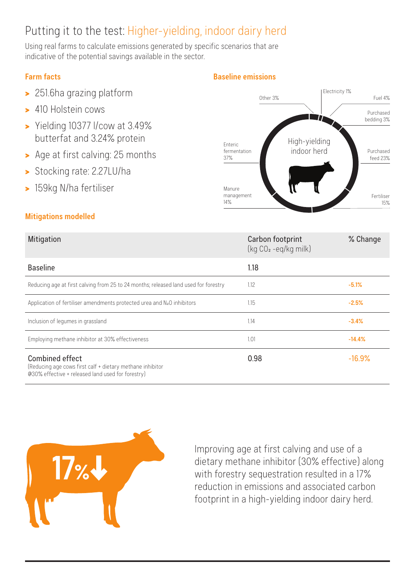# Putting it to the test: Higher-yielding, indoor dairy herd

Using real farms to calculate emissions generated by specific scenarios that are indicative of the potential savings available in the sector.

### **Farm facts**

- > 251.6ha grazing platform
- > 410 Holstein cows
- > Yielding 10377 l/cow at 3.49% butterfat and 3.24% protein
- > Age at first calving: 25 months
- > Stocking rate: 2.27LU/ha
- > 159kg N/ha fertiliser

### **Mitigations modelled**

### Mitigation Carbon footprint (kg CO2 -eq/kg milk) % Change Baseline 1.18 Reducing age at first calving from 25 to 24 months; released land used for forestry 1.12 **-5.1%** -5.1% Application of fertiliser amendments protected urea and N<sub>2</sub>O inhibitors 1.15 1.15 **1.15** 1.15 **-2.5%** Inclusion of legumes in grassland **1.14** -3.4% Employing methane inhibitor at 30% effectiveness 1.01 **-14.4%** Combined effect (Reducing age cows first calf + dietary methane inhibitor 0.98 - 16.9%

@30% effective + released land used for forestry)



Improving age at first calving and use of a dietary methane inhibitor (30% effective) along with forestry sequestration resulted in a 17% reduction in emissions and associated carbon footprint in a high-yielding indoor dairy herd.

### **Baseline emissions**